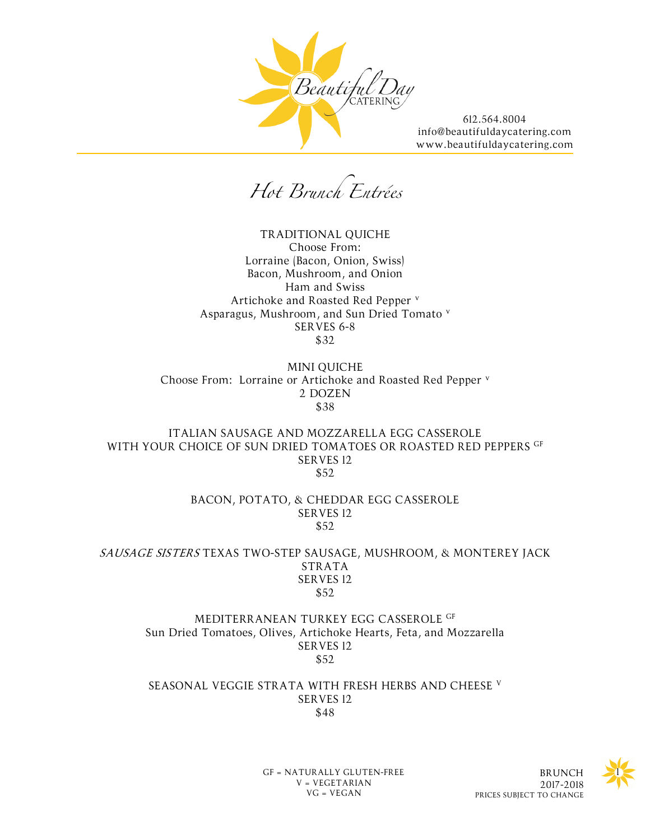

*Hot Brunch Entrées*

TRADITIONAL QUICHE Choose From: Lorraine (Bacon, Onion, Swiss) Bacon, Mushroom, and Onion Ham and Swiss Artichoke and Roasted Red Pepper <sup>v</sup> Asparagus, Mushroom, and Sun Dried Tomato <sup>v</sup> SERVES 6-8 \$32

MINI QUICHE Choose From: Lorraine or Artichoke and Roasted Red Pepper <sup>v</sup> 2 DOZEN \$38

ITALIAN SAUSAGE AND MOZZARELLA EGG CASSEROLE WITH YOUR CHOICE OF SUN DRIED TOMATOES OR ROASTED RED PEPPERS GF SERVES 12 \$52

> BACON, POTATO, & CHEDDAR EGG CASSEROLE SERVES 12 \$52

SAUSAGE SISTERS TEXAS TWO-STEP SAUSAGE, MUSHROOM, & MONTEREY JACK STRATA SERVES 12 \$52

> MEDITERRANEAN TURKEY EGG CASSEROLE GF Sun Dried Tomatoes, Olives, Artichoke Hearts, Feta, and Mozzarella SERVES 12 \$52

> SEASONAL VEGGIE STRATA WITH FRESH HERBS AND CHEESE <sup>V</sup> SERVES 12 \$48

> > GF = NATURALLY GLUTEN-FREE V = VEGETARIAN VG = VEGAN



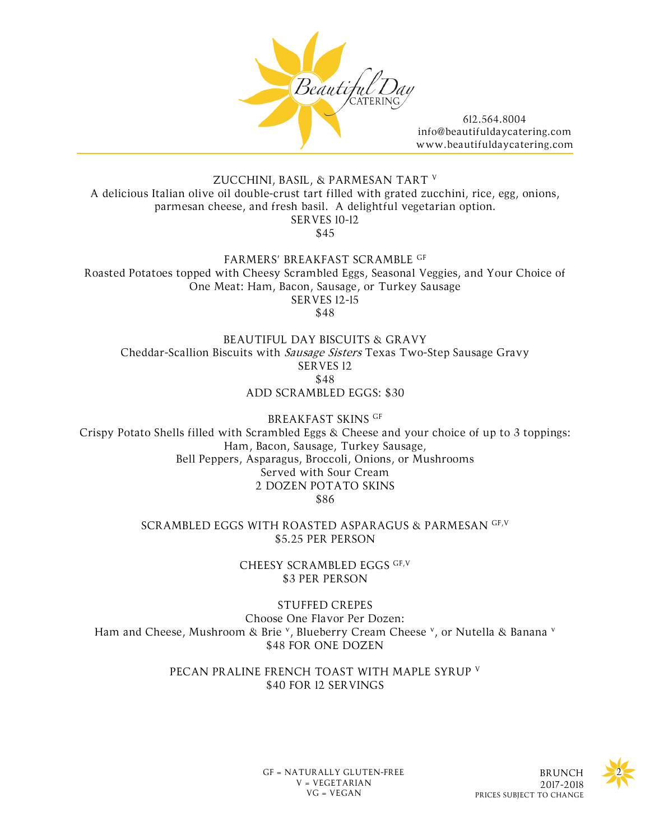

## ZUCCHINI, BASIL, & PARMESAN TART <sup>V</sup> A delicious Italian olive oil double-crust tart filled with grated zucchini, rice, egg, onions, parmesan cheese, and fresh basil. A delightful vegetarian option. SERVES 10-12 \$45

FARMERS' BREAKFAST SCRAMBLE GF Roasted Potatoes topped with Cheesy Scrambled Eggs, Seasonal Veggies, and Your Choice of One Meat: Ham, Bacon, Sausage, or Turkey Sausage SERVES 12-15

\$48

BEAUTIFUL DAY BISCUITS & GRAVY Cheddar-Scallion Biscuits with Sausage Sisters Texas Two-Step Sausage Gravy SERVES 12 \$48 ADD SCRAMBLED EGGS: \$30

BREAKFAST SKINS GF Crispy Potato Shells filled with Scrambled Eggs & Cheese and your choice of up to 3 toppings: Ham, Bacon, Sausage, Turkey Sausage, Bell Peppers, Asparagus, Broccoli, Onions, or Mushrooms Served with Sour Cream 2 DOZEN POTATO SKINS \$86

> SCRAMBLED EGGS WITH ROASTED ASPARAGUS & PARMESAN GF,V \$5.25 PER PERSON

> > CHEESY SCRAMBLED EGGS GF,V **\$3 PER PERSON**

STUFFED CREPES Choose One Flavor Per Dozen: Ham and Cheese, Mushroom & Brie <sup>v</sup>, Blueberry Cream Cheese <sup>v</sup>, or Nutella & Banana <sup>v</sup> \$48 FOR ONE DOZEN

> PECAN PRALINE FRENCH TOAST WITH MAPLE SYRUP <sup>V</sup> \$40 FOR 12 SERVINGS

> > GF = NATURALLY GLUTEN-FREE 2 V = VEGETARIAN  $VG = VEGAN$



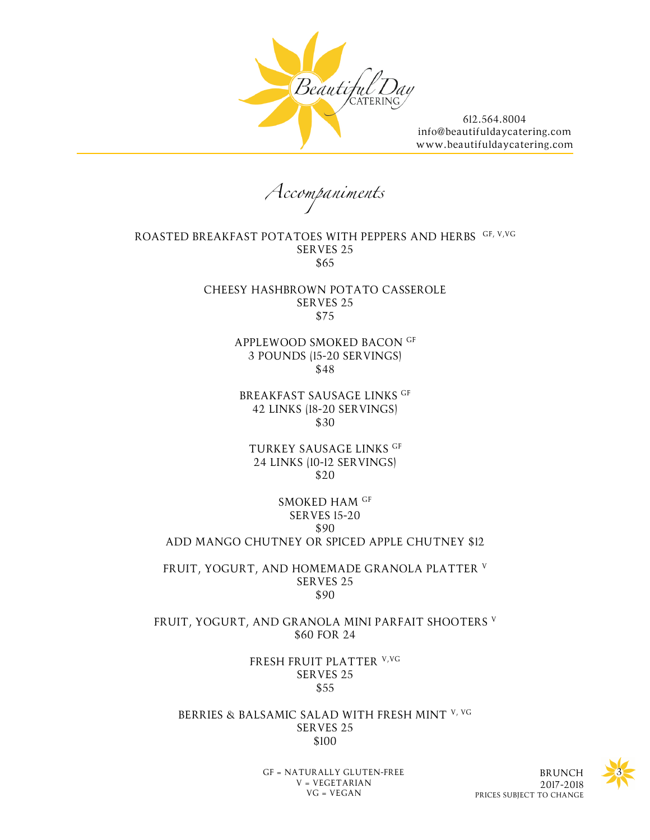

*Accompaniments*

ROASTED BREAKFAST POTATOES WITH PEPPERS AND HERBS GF, V, VG SERVES 25 \$65

> CHEESY HASHBROWN POTATO CASSEROLE SERVES 25 \$75

> > APPLEWOOD SMOKED BACON GF 3 POUNDS (15-20 SERVINGS) \$48

BREAKFAST SAUSAGE LINKS GF 42 LINKS (18-20 SERVINGS) \$30

TURKEY SAUSAGE LINKS GF 24 LINKS (10-12 SERVINGS) \$20

## SMOKED HAM GF SERVES 15-20 \$90 ADD MANGO CHUTNEY OR SPICED APPLE CHUTNEY \$12

FRUIT, YOGURT, AND HOMEMADE GRANOLA PLATTER <sup>V</sup> SERVES 25 \$90

FRUIT, YOGURT, AND GRANOLA MINI PARFAIT SHOOTERS <sup>V</sup> \$60 FOR 24

> FRESH FRUIT PLATTER V,VG SERVES 25 \$55

BERRIES & BALSAMIC SALAD WITH FRESH MINT V, VG SERVES 25 \$100

> GF = NATURALLY GLUTEN-FREE  $V = VEGETARIAN$ VG = VEGAN



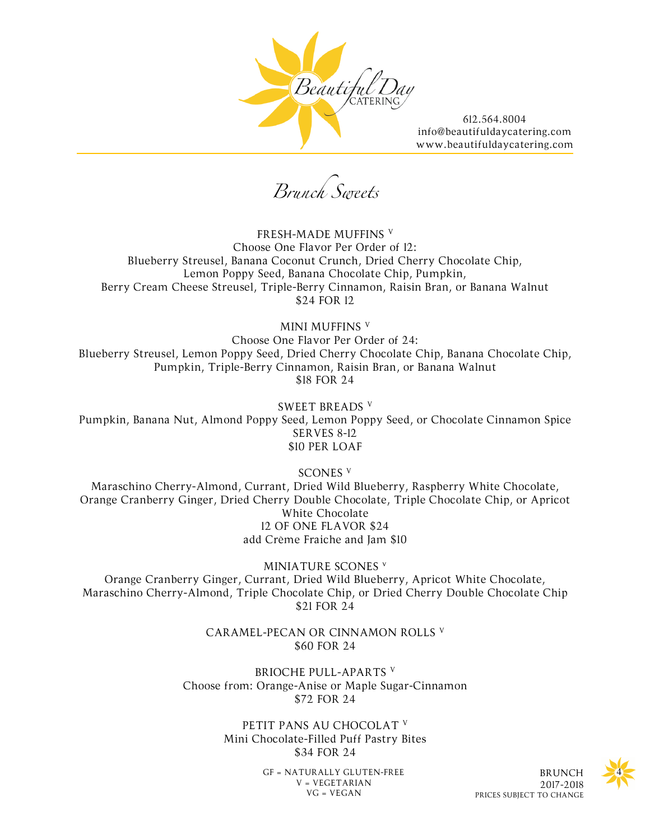

*Brunch Sweets* 

FRESH-MADE MUFFINS <sup>V</sup> Choose One Flavor Per Order of 12: Blueberry Streusel, Banana Coconut Crunch, Dried Cherry Chocolate Chip, Lemon Poppy Seed, Banana Chocolate Chip, Pumpkin, Berry Cream Cheese Streusel, Triple-Berry Cinnamon, Raisin Bran, or Banana Walnut \$24 FOR 12

MINI MUFFINS <sup>V</sup>

Choose One Flavor Per Order of 24: Blueberry Streusel, Lemon Poppy Seed, Dried Cherry Chocolate Chip, Banana Chocolate Chip, Pumpkin, Triple-Berry Cinnamon, Raisin Bran, or Banana Walnut \$18 FOR 24

SWEET BREADS <sup>V</sup>

Pumpkin, Banana Nut, Almond Poppy Seed, Lemon Poppy Seed, or Chocolate Cinnamon Spice SERVES 8-12 \$10 PER LOAF

SCONES <sup>V</sup>

Maraschino Cherry-Almond, Currant, Dried Wild Blueberry, Raspberry White Chocolate, Orange Cranberry Ginger, Dried Cherry Double Chocolate, Triple Chocolate Chip, or Apricot White Chocolate 12 OF ONE FLAVOR \$24 add Crème Fraiche and Jam \$10

MINIATURE SCONES<sup>V</sup> Orange Cranberry Ginger, Currant, Dried Wild Blueberry, Apricot White Chocolate, Maraschino Cherry-Almond, Triple Chocolate Chip, or Dried Cherry Double Chocolate Chip \$21 FOR 24

> CARAMEL-PECAN OR CINNAMON ROLLS <sup>V</sup> \$60 FOR 24

BRIOCHE PULL-APARTS <sup>V</sup> Choose from: Orange-Anise or Maple Sugar-Cinnamon \$72 FOR 24

> PETIT PANS AU CHOCOLAT V Mini Chocolate-Filled Puff Pastry Bites \$34 FOR 24

> > GF = NATURALLY GLUTEN-FREE 4 V = VEGETARIAN  $VG = VEGAN$